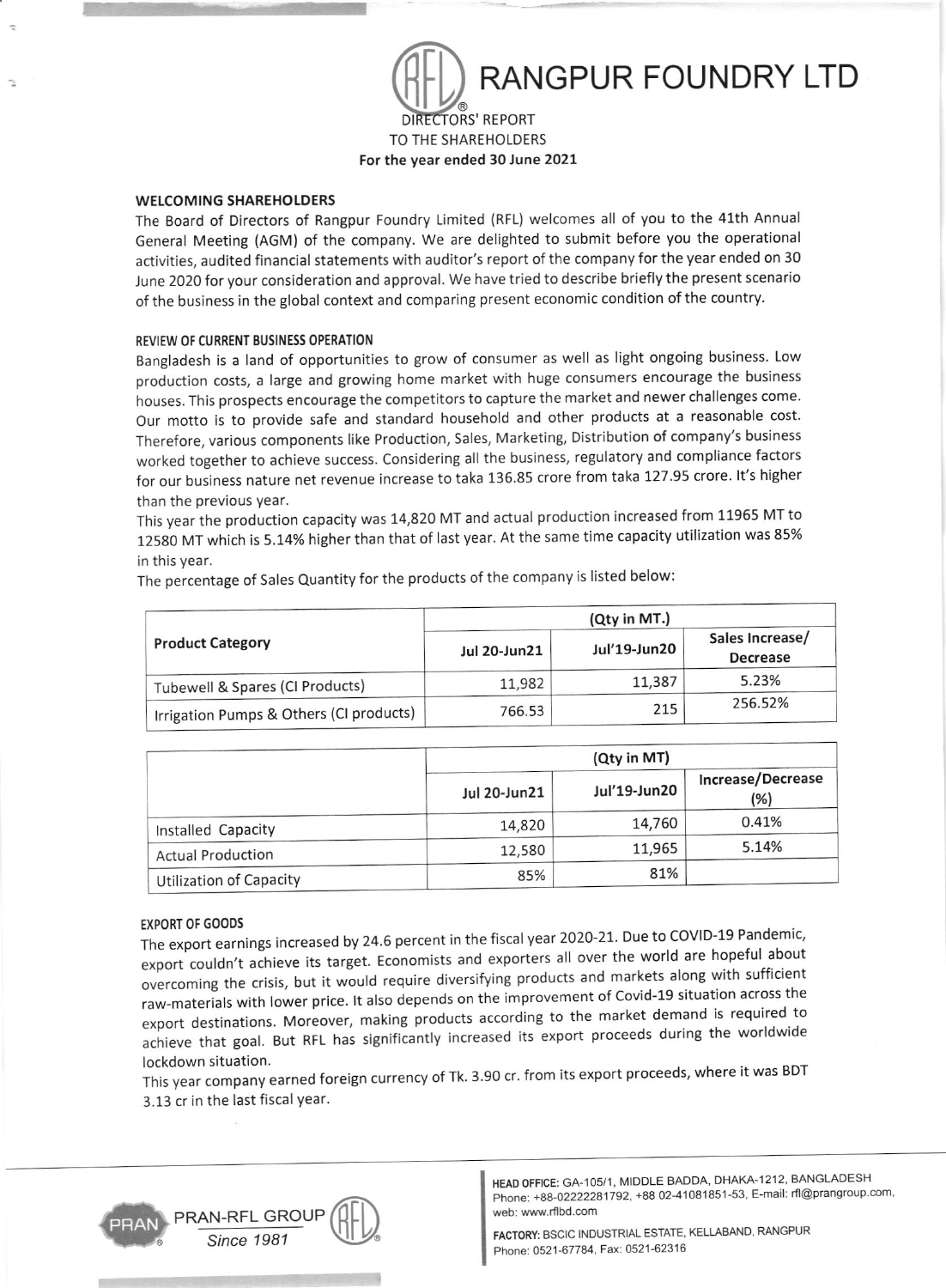

TO THE SHAREHOLDERS For the year ended 30 June 2021

# WELCOMING SHAREHOLDERS

The Board of Directors of Rangpur Foundry Limited (RFL) welcomes all of you to the 4l'th Annual General Meeting (AGM) of the company. We are delighted to submit before you the operational activities, audited financial statements with auditor's report of the company for the year ended on 30 June 2020 for your consideration and approval. We have tried to describe briefly the present scenario of the business in the global context and comparing present economic condition of the country.

### REVIEW OF CURRENT BUSINESS OPERATION

Bangladesh is a land of opportunities to grow of consumer as well as light ongoing business. Low production costs, a large and growing home market with huge consumers encourage the business houses. This prospects encourage the competitors to capture the market and newer challenges come. Our motto is to provide safe and standard household and other products at a reasonable cost. Therefore, various components like Production, Sales, Marketing, Distribution of company's business worked together to achieve success. considering all the business, regulatory and compliance factors for our business nature net revenue increase to taka 136.85 crore from taka 127.95 crore. It's higher than the previous year.

This year the production capacity was 14,820 MT and actual production increased from 11955 MT to <sup>12580</sup>MT which is 5.14% higher than that of last year. At the same time capacity utilization was 85% in this year.

The percentage of Sales Quantity for the products of the company is listed below:

|                                         | (Qty in MT.)        |              |                                    |
|-----------------------------------------|---------------------|--------------|------------------------------------|
| <b>Product Category</b>                 | <b>Jul 20-Jun21</b> | Jul'19-Jun20 | Sales Increase/<br><b>Decrease</b> |
| Tubewell & Spares (CI Products)         | 11,982              | 11,387       | 5.23%                              |
| Irrigation Pumps & Others (CI products) | 766.53              | 215          | 256.52%                            |

|                                | (Qty in MT)         |              |                          |  |
|--------------------------------|---------------------|--------------|--------------------------|--|
|                                | <b>Jul 20-Jun21</b> | Jul'19-Jun20 | Increase/Decrease<br>(%) |  |
| Installed Capacity             | 14,820              | 14,760       | 0.41%                    |  |
| <b>Actual Production</b>       | 12,580              | 11,965       | 5.14%                    |  |
| <b>Utilization of Capacity</b> | 85%                 | 81%          |                          |  |

# EXPORT OF GOODS

The export earnings increased by 24.6 percent in the fiscal year 2020-21. Due to COVID-19 and the covidexport couldn't achieve its target. Economists and exporters all over the world are hopeful about overcoming the crisis, but it would require diversifying products and markets along with sufficient raw-materials with lower price. lt also depends on the improvement of Covid-19 situation across the export destinations. Moreover, making products according to the market demand is required to achieve that goal. But RFL has significantly increased its export proceeds during the worldwide lockdown situation.

This year company earned foreign currency of Tk. 3.90 cr. from its export proceeds, where it was BDT 3.13 cr in the last fiscal year.



HEAD OFFICE: GA-105/1, MIDDLE BADDA, DHAKA-I212, BANGLADESH Phone: +88-02222281792, +88 02-41081851-53, E-mail: rfl@prangroup.com, web: www.rflbd.com

FACIORY: BSCIC INDUSTRIAL ESTATE, KELLABAND, RANGPUR Phone: 0521-67784, Fax: 0521-62316